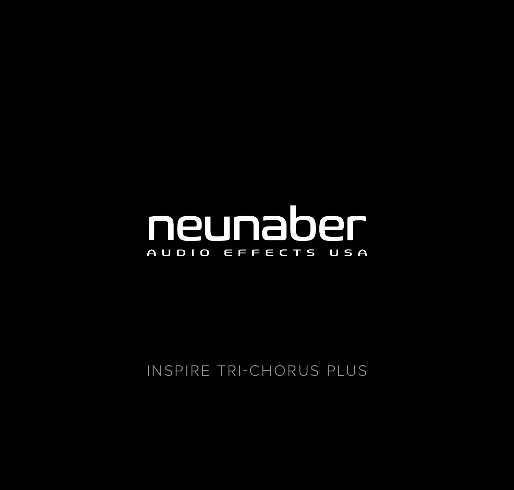## neunaber AUDIO EFFECTS USA

INSPIRE TRI-CHORUS PLUS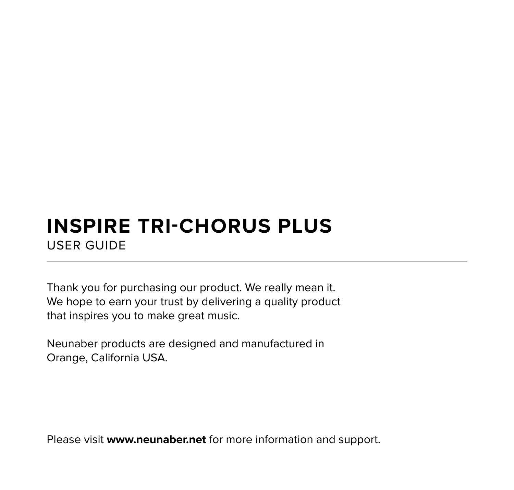## **INSPIRE TRI-CHORUS PLUS** USER GUIDE

Thank you for purchasing our product. We really mean it. We hope to earn your trust by delivering a quality product that inspires you to make great music.

Neunaber products are designed and manufactured in Orange, California USA.

Please visit **www.neunaber.net** for more information and support.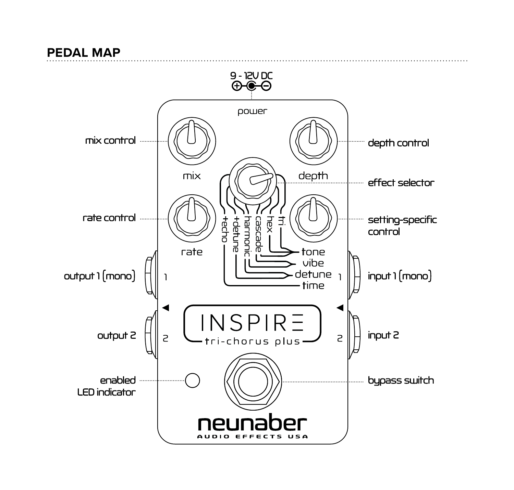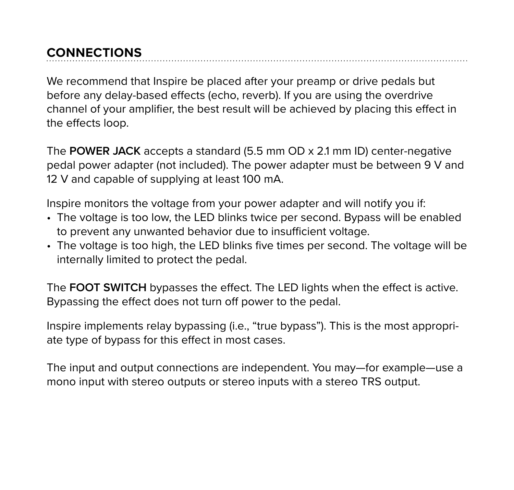#### **CONNECTIONS**

We recommend that Inspire be placed after your preamp or drive pedals but before any delay-based effects (echo, reverb). If you are using the overdrive channel of your amplifier, the best result will be achieved by placing this effect in the effects loop.

The **POWER JACK** accepts a standard (5.5 mm OD x 2.1 mm ID) center-negative pedal power adapter (not included). The power adapter must be between 9 V and 12 V and capable of supplying at least 100 mA.

Inspire monitors the voltage from your power adapter and will notify you if:

- The voltage is too low, the LED blinks twice per second. Bypass will be enabled to prevent any unwanted behavior due to insufficient voltage.
- The voltage is too high, the LED blinks five times per second. The voltage will be internally limited to protect the pedal.

The **FOOT SWITCH** bypasses the effect. The LED lights when the effect is active. Bypassing the effect does not turn off power to the pedal.

Inspire implements relay bypassing (i.e., "true bypass"). This is the most appropriate type of bypass for this effect in most cases.

The input and output connections are independent. You may—for example—use a mono input with stereo outputs or stereo inputs with a stereo TRS output.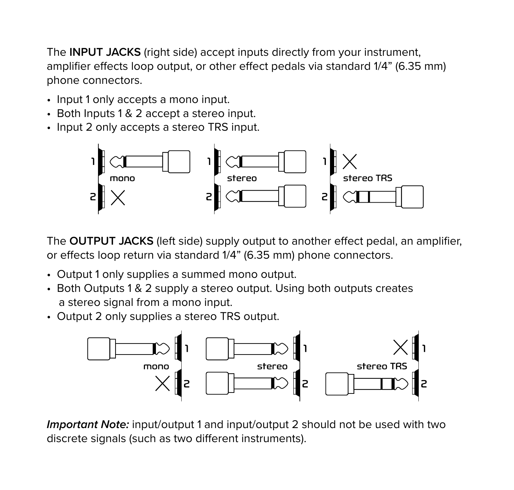The **INPUT JACKS** (right side) accept inputs directly from your instrument, amplifier effects loop output, or other effect pedals via standard 1/4" (6.35 mm) phone connectors.

- Input 1 only accepts a mono input.
- Both Inputs 1 & 2 accept a stereo input.
- Input 2 only accepts a stereo TRS input.



The **OUTPUT JACKS** (left side) supply output to another effect pedal, an amplifier, or effects loop return via standard 1/4" (6.35 mm) phone connectors.

- Output 1 only supplies a summed mono output.
- Both Outputs 1 & 2 supply a stereo output. Using both outputs creates a stereo signal from a mono input.
- Output 2 only supplies a stereo TRS output.



*Important Note:* input/output 1 and input/output 2 should not be used with two discrete signals (such as two different instruments).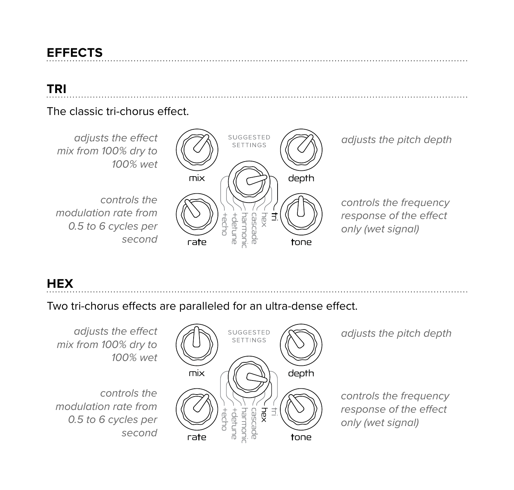#### **EFFECTS**

#### **TRI**

#### The classic tri-chorus effect.



#### **HEX**

#### Two tri-chorus effects are paralleled for an ultra-dense effect.

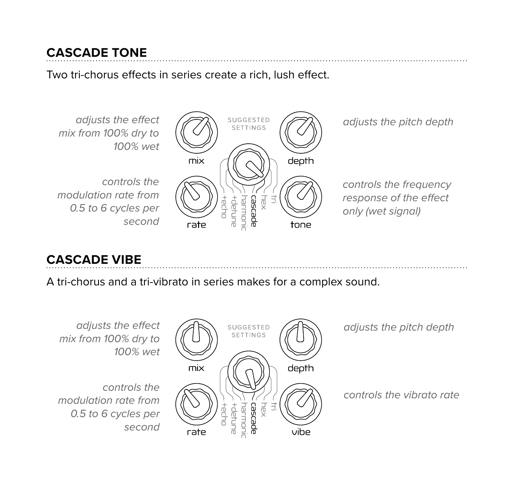#### **CASCADE TONE**

Two tri-chorus effects in series create a rich, lush effect.



#### **CASCADE VIBE**

A tri-chorus and a tri-vibrato in series makes for a complex sound.

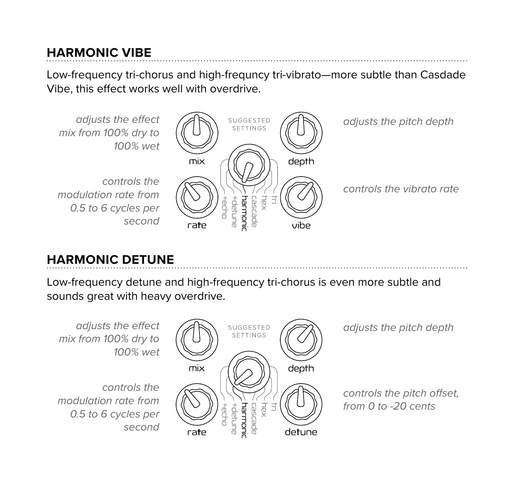#### **HARMONIC VIBE**

Low-frequency tri-chorus and high-frequncy tri-vibrato—more subtle than Casdade Vibe, this effect works well with overdrive.



### **HARMONIC DETUNE**

Low-frequency detune and high-frequency tri-chorus is even more subtle and sounds great with heavy overdrive.

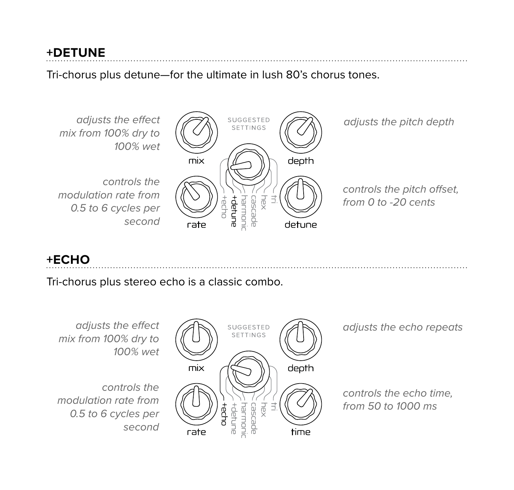#### **+DETUNE**

Tri-chorus plus detune—for the ultimate in lush 80's chorus tones.



#### **+ECHO**

Tri-chorus plus stereo echo is a classic combo.

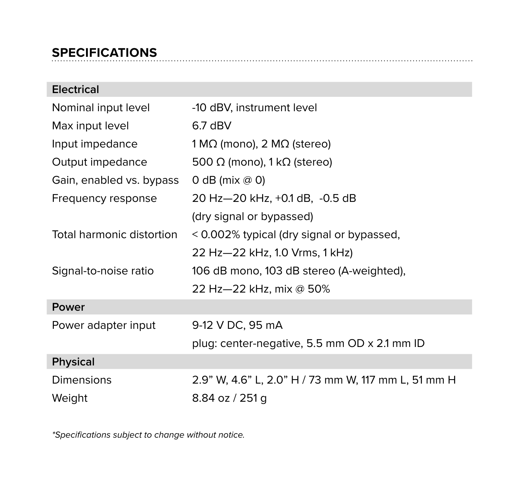#### **SPECIFICATIONS**

| <b>Electrical</b>         |                                                     |
|---------------------------|-----------------------------------------------------|
| Nominal input level       | -10 dBV, instrument level                           |
| Max input level           | $6.7$ dBV                                           |
| Input impedance           | 1 M $\Omega$ (mono), 2 M $\Omega$ (stereo)          |
| Output impedance          | 500 $\Omega$ (mono), 1 k $\Omega$ (stereo)          |
| Gain, enabled vs. bypass  | 0 dB (mix $@$ 0)                                    |
| Frequency response        | 20 Hz-20 kHz, +0.1 dB, -0.5 dB                      |
|                           | (dry signal or bypassed)                            |
| Total harmonic distortion | < 0.002% typical (dry signal or bypassed,           |
|                           | 22 Hz-22 kHz, 1.0 Vrms, 1 kHz)                      |
| Signal-to-noise ratio     | 106 dB mono, 103 dB stereo (A-weighted),            |
|                           | 22 Hz-22 kHz, mix @ 50%                             |
| Power                     |                                                     |
| Power adapter input       | 9-12 V DC, 95 mA                                    |
|                           | plug: center-negative, 5.5 mm OD x 2.1 mm ID        |
| <b>Physical</b>           |                                                     |
| Dimensions                | 2.9" W, 4.6" L, 2.0" H / 73 mm W, 117 mm L, 51 mm H |
| Weight                    | 8.84 oz / 251 g                                     |

*\*Specifications subject to change without notice.*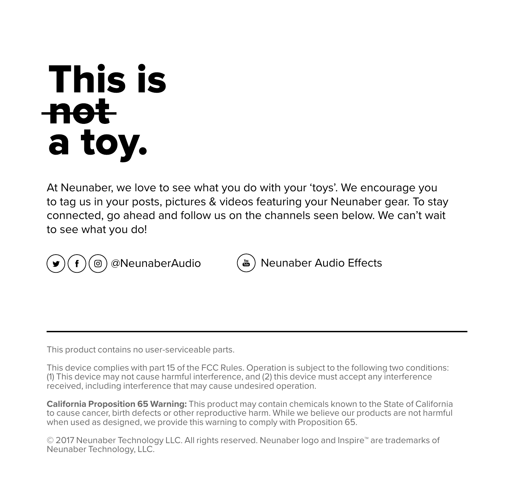# **This is** -nota toy.

At Neunaber, we love to see what you do with your 'toys'. We encourage you to tag us in your posts, pictures & videos featuring your Neunaber gear. To stay connected, go ahead and follow us on the channels seen below. We can't wait to see what you do!



@NeunaberAudio (b) Neunaber Audio Effects

This product contains no user-serviceable parts.

This device complies with part 15 of the FCC Rules. Operation is subject to the following two conditions: (1) This device may not cause harmful interference, and (2) this device must accept any interference received, including interference that may cause undesired operation.

**California Proposition 65 Warning:** This product may contain chemicals known to the State of California to cause cancer, birth defects or other reproductive harm. While we believe our products are not harmful when used as designed, we provide this warning to comply with Proposition 65.

© 2017 Neunaber Technology LLC. All rights reserved. Neunaber logo and Inspire™ are trademarks of Neunaber Technology, LLC.